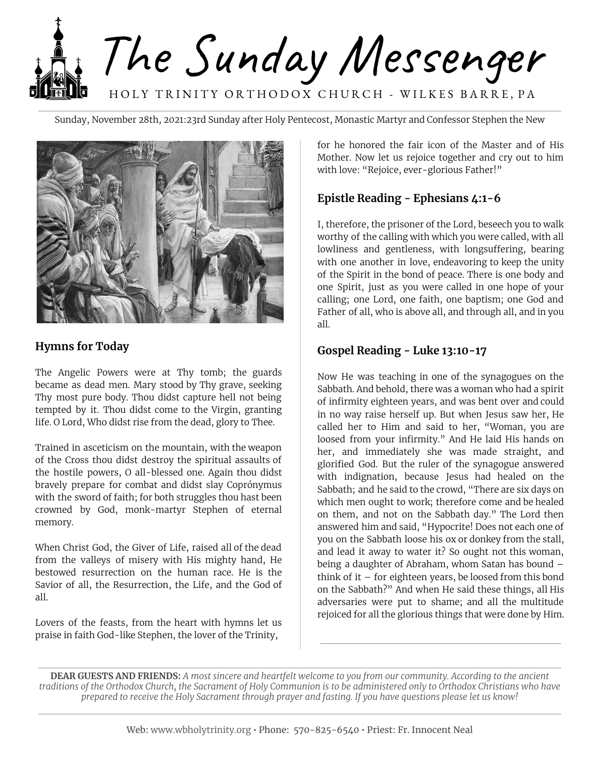The Sunday Messenger HOLY TRINITY ORTHODOX CHURCH - WILKES BARRE, PA

Sunday, November 28th, 2021:23rd Sunday after Holy Pentecost, Monastic Martyr and Confessor Stephen the New



### **Hymns for Today**

The Angelic Powers were at Thy tomb; the guards became as dead men. Mary stood by Thy grave, seeking Thy most pure body. Thou didst capture hell not being tempted by it. Thou didst come to the Virgin, granting life. O Lord, Who didst rise from the dead, glory to Thee.

Trained in asceticism on the mountain, with the weapon of the Cross thou didst destroy the spiritual assaults of the hostile powers, O all-blessed one. Again thou didst bravely prepare for combat and didst slay Coprónymus with the sword of faith; for both struggles thou hast been crowned by God, monk-martyr Stephen of eternal memory.

When Christ God, the Giver of Life, raised all of the dead from the valleys of misery with His mighty hand, He bestowed resurrection on the human race. He is the Savior of all, the Resurrection, the Life, and the God of all.

Lovers of the feasts, from the heart with hymns let us praise in faith God-like Stephen, the lover of the Trinity,

for he honored the fair icon of the Master and of His Mother. Now let us rejoice together and cry out to him with love: "Rejoice, ever-glorious Father!"

# **Epistle Reading - Ephesians 4:1-6**

I, therefore, the prisoner of the Lord, beseech you to walk worthy of the calling with which you were called, with all lowliness and gentleness, with longsuffering, bearing with one another in love, endeavoring to keep the unity of the Spirit in the bond of peace. There is one body and one Spirit, just as you were called in one hope of your calling; one Lord, one faith, one baptism; one God and Father of all, who is above all, and through all, and in you all.

#### **Gospel Reading - Luke 13:10-17**

Now He was teaching in one of the synagogues on the Sabbath. And behold, there was a woman who had a spirit of infirmity eighteen years, and was bent over and could in no way raise herself up. But when Jesus saw her, He called her to Him and said to her, "Woman, you are loosed from your infirmity." And He laid His hands on her, and immediately she was made straight, and glorified God. But the ruler of the synagogue answered with indignation, because Jesus had healed on the Sabbath; and he said to the crowd, "There are six days on which men ought to work; therefore come and be healed on them, and not on the Sabbath day." The Lord then answered him and said, "Hypocrite! Does not each one of you on the Sabbath loose his ox or donkey from the stall, and lead it away to water it? So ought not this woman, being a daughter of Abraham, whom Satan has bound – think of it  $-$  for eighteen years, be loosed from this bond on the Sabbath?" And when He said these things, all His adversaries were put to shame; and all the multitude rejoiced for all the glorious things that were done by Him.

**DEAR GUESTS AND FRIENDS:** A most sincere and heartfelt welcome to you from our community. According to the ancient traditions of the Orthodox Church, the Sacrament of Holy Communion is to be administered only to Orthodox Christians who have prepared to receive the Holy Sacrament through prayer and fasting. If you have questions please let us know!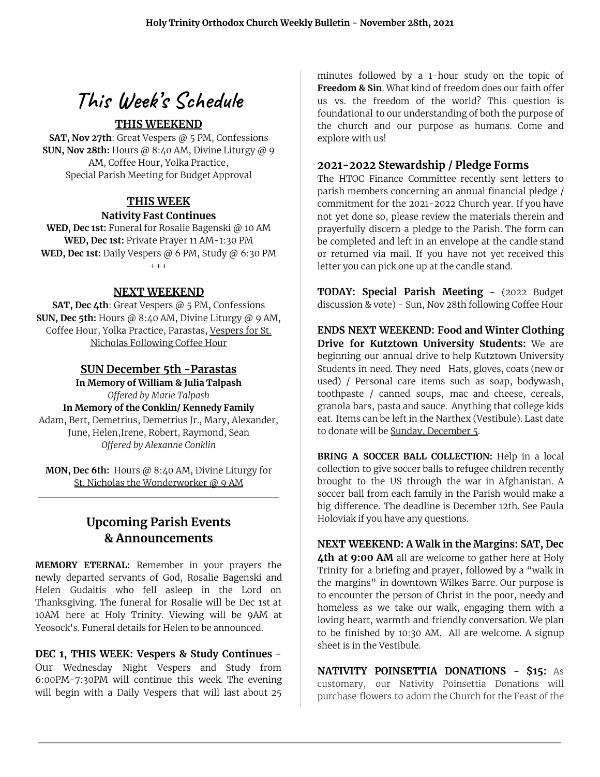# **This Week' s Schedule**

## **THIS WEEKEND**

**SAT, Nov 27th**: Great Vespers @ 5 PM, Confessions **SUN, Nov 28th:** Hours @ 8:40 AM, Divine Liturgy @ 9 AM, Coffee Hour, Yolka Practice, Special Parish Meeting for Budget Approval

#### **THIS WEEK Nativity Fast Continues**

**WED, Dec 1st:** Funeral for Rosalie Bagenski @ 10 AM **WED, Dec 1st:** Private Prayer 11 AM-1:30 PM **WED, Dec 1st:** Daily Vespers @ 6 PM, Study @ 6:30 PM +++

#### **NEXT WEEKEND**

**SAT, Dec 4th**: Great Vespers @ 5 PM, Confessions **SUN, Dec 5th:** Hours @ 8:40 AM, Divine Liturgy @ 9 AM, Coffee Hour, Yolka Practice, Parastas, Vespers for St. Nicholas Following Coffee Hour

#### **SUN December 5th -Parastas**

**In Memory of William & Julia Talpash** *Offered by Marie Talpash* **In Memory of the Conklin/ Kennedy Family** Adam, Bert, Demetrius, Demetrius Jr., Mary, Alexander, June, Helen,Irene, Robert, Raymond, Sean *Offered by Alexanne Conklin*

**MON, Dec 6th:** Hours @ 8:40 AM, Divine Liturgy for St. Nicholas the Wonderworker @ 9 AM

# **Upcoming Parish Events & Announcements**

**MEMORY ETERNAL:** Remember in your prayers the newly departed servants of God, Rosalie Bagenski and Helen Gudaitis who fell asleep in the Lord on Thanksgiving. The funeral for Rosalie will be Dec 1st at 10AM here at Holy Trinity. Viewing will be 9AM at Yeosock's. Funeral details for Helen to be announced.

**DEC 1, THIS WEEK: Vespers & Study Continues** - Our Wednesday Night Vespers and Study from 6:00PM-7:30PM will continue this week. The evening will begin with a Daily Vespers that will last about 25

minutes followed by a 1-hour study on the topic of **Freedom & Sin**. What kind of freedom does our faith offer us vs. the freedom of the world? This question is foundational to our understanding of both the purpose of the church and our purpose as humans. Come and explore with us!

#### **2021-2022 Stewardship / Pledge Forms**

The HTOC Finance Committee recently sent letters to parish members concerning an annual financial pledge / commitment for the 2021-2022 Church year. If you have not yet done so, please review the materials therein and prayerfully discern a pledge to the Parish. The form can be completed and left in an envelope at the candle stand or returned via mail. If you have not yet received this letter you can pick one up at the candle stand.

**TODAY: Special Parish Meeting** - (2022 Budget discussion & vote) - Sun, Nov 28th following Coffee Hour

**ENDS NEXT WEEKEND: Food and Winter Clothing Drive for Kutztown University Students:** We are beginning our annual drive to help Kutztown University Students in need. They need Hats, gloves, coats (new or used) / Personal care items such as soap, bodywash, toothpaste / canned soups, mac and cheese, cereals, granola bars, pasta and sauce. Anything that college kids eat. Items can be left in the Narthex (Vestibule). Last date to donate will be Sunday, December 5.

**BRING A SOCCER BALL COLLECTION:** Help in a local collection to give soccer balls to refugee children recently brought to the US through the war in Afghanistan. A soccer ball from each family in the Parish would make a big difference. The deadline is December 12th. See Paula Holoviak if you have any questions.

**NEXT WEEKEND: A Walk in the Margins: SAT, Dec 4th at 9:00 AM** all are welcome to gather here at Holy Trinity for a briefing and prayer, followed by a "walk in the margins" in downtown Wilkes Barre. Our purpose is to encounter the person of Christ in the poor, needy and homeless as we take our walk, engaging them with a loving heart, warmth and friendly conversation. We plan to be finished by 10:30 AM. All are welcome. A signup sheet is in the Vestibule.

**NATIVITY POINSETTIA DONATIONS - \$15:** As customary, our Nativity Poinsettia Donations will purchase flowers to adorn the Church for the Feast of the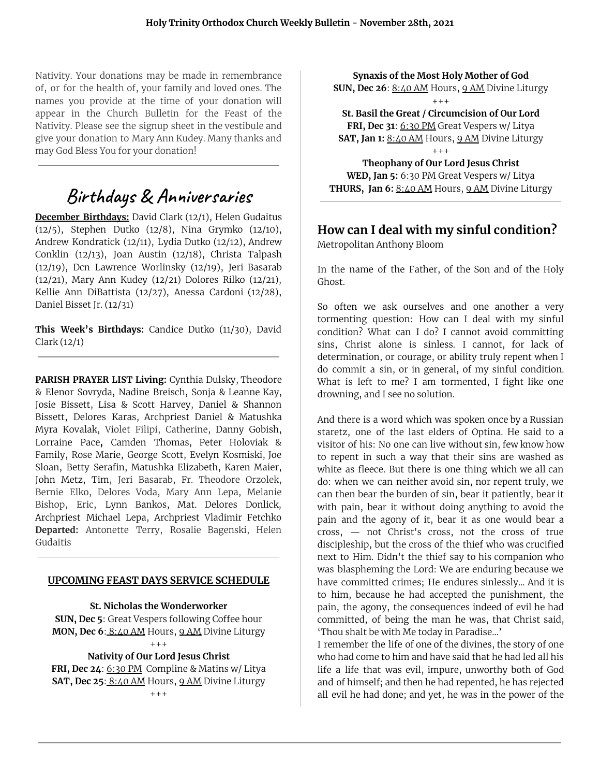Nativity. Your donations may be made in remembrance of, or for the health of, your family and loved ones. The names you provide at the time of your donation will appear in the Church Bulletin for the Feast of the Nativity. Please see the signup sheet in the vestibule and give your donation to Mary Ann Kudey. Many thanks and may God Bless You for your donation!

# **Birthdays & Anniversaries**

**December Birthdays:** David Clark (12/1), Helen Gudaitus (12/5), Stephen Dutko (12/8), Nina Grymko (12/10), Andrew Kondratick (12/11), Lydia Dutko (12/12), Andrew Conklin (12/13), Joan Austin (12/18), Christa Talpash (12/19), Dcn Lawrence Worlinsky (12/19), Jeri Basarab (12/21), Mary Ann Kudey (12/21) Dolores Rilko (12/21), Kellie Ann DiBattista (12/27), Anessa Cardoni (12/28), Daniel Bisset Jr. (12/31)

**This Week's Birthdays:** Candice Dutko (11/30), David Clark (12/1)

**PARISH PRAYER LIST Living:** Cynthia Dulsky, Theodore & Elenor Sovryda, Nadine Breisch, Sonja & Leanne Kay, Josie Bissett, Lisa & Scott Harvey, Daniel & Shannon Bissett, Delores Karas, Archpriest Daniel & Matushka Myra Kovalak, Violet Filipi, Catherine, Danny Gobish, Lorraine Pace**,** Camden Thomas, Peter Holoviak & Family, Rose Marie, George Scott, Evelyn Kosmiski, Joe Sloan, Betty Serafin, Matushka Elizabeth, Karen Maier, John Metz, Tim, Jeri Basarab, Fr. Theodore Orzolek, Bernie Elko, Delores Voda, Mary Ann Lepa, Melanie Bishop, Eric, Lynn Bankos, Mat. Delores Donlick, Archpriest Michael Lepa, Archpriest Vladimir Fetchko **Departed:** Antonette Terry, Rosalie Bagenski, Helen Gudaitis

#### **UPCOMING FEAST DAYS SERVICE SCHEDULE**

**St. Nicholas the Wonderworker**

**SUN, Dec 5**: Great Vespers following Coffee hour **MON, Dec 6**: 8:40 AM Hours, 9 AM Divine Liturgy  $+ + +$ 

#### **Nativity of Our Lord Jesus Christ**

**FRI, Dec 24**: 6:30 PM Compline & Matins w/ Litya **SAT, Dec 25**: 8:40 AM Hours, 9 AM Divine Liturgy  $+ + +$ 

**Synaxis of the Most Holy Mother of God SUN, Dec 26**: 8:40 AM Hours, 9 AM Divine Liturgy  $+ + +$ 

**St. Basil the Great / Circumcision of Our Lord FRI, Dec 31**: 6:30 PM Great Vespers w/ Litya **SAT, Jan 1:** 8:40 AM Hours, 9 AM Divine Liturgy  $+ + +$ 

**Theophany of Our Lord Jesus Christ WED, Jan 5:** 6:30 PM Great Vespers w/ Litya **THURS, Jan 6:** 8:40 AM Hours, 9 AM Divine Liturgy

### **How can I deal with my sinful condition?**

Metropolitan Anthony Bloom

In the name of the Father, of the Son and of the Holy Ghost.

So often we ask ourselves and one another a very tormenting question: How can I deal with my sinful condition? What can I do? I cannot avoid committing sins, Christ alone is sinless. I cannot, for lack of determination, or courage, or ability truly repent when I do commit a sin, or in general, of my sinful condition. What is left to me? I am tormented, I fight like one drowning, and I see no solution.

And there is a word which was spoken once by a Russian staretz, one of the last elders of Optina. He said to a visitor of his: No one can live without sin, few know how to repent in such a way that their sins are washed as white as fleece. But there is one thing which we all can do: when we can neither avoid sin, nor repent truly, we can then bear the burden of sin, bear it patiently, bear it with pain, bear it without doing anything to avoid the pain and the agony of it, bear it as one would bear a cross, — not Christ's cross, not the cross of true discipleship, but the cross of the thief who was crucified next to Him. Didn't the thief say to his companion who was blaspheming the Lord: We are enduring because we have committed crimes; He endures sinlessly... And it is to him, because he had accepted the punishment, the pain, the agony, the consequences indeed of evil he had committed, of being the man he was, that Christ said, 'Thou shalt be with Me today in Paradise...'

I remember the life of one of the divines, the story of one who had come to him and have said that he had led all his life a life that was evil, impure, unworthy both of God and of himself; and then he had repented, he has rejected all evil he had done; and yet, he was in the power of the